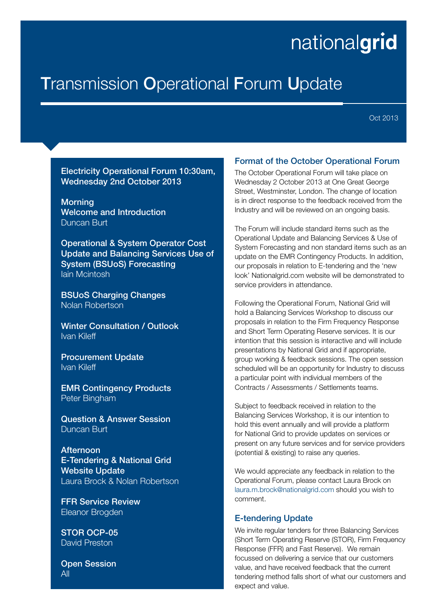# nationalgrid

# **Transmission Operational Forum Update**

Oct 2013

#### Electricity Operational Forum 10:30am, Wednesday 2nd October 2013

**Morning** Welcome and Introduction Duncan Burt

Operational & System Operator Cost Update and Balancing Services Use of System (BSUoS) Forecasting Iain Mcintosh

BSUoS Charging Changes Nolan Robertson

Winter Consultation / Outlook Ivan Kileff

Procurement Update Ivan Kileff

EMR Contingency Products Peter Bingham

Question & Answer Session Duncan Burt

**Afternoon** E-Tendering & National Grid Website Update Laura Brock & Nolan Robertson

FFR Service Review Eleanor Brogden

STOR OCP-05 David Preston

Open Session All

#### Format of the October Operational Forum

The October Operational Forum will take place on Wednesday 2 October 2013 at One Great George Street, Westminster, London. The change of location is in direct response to the feedback received from the Industry and will be reviewed on an ongoing basis.

The Forum will include standard items such as the Operational Update and Balancing Services & Use of System Forecasting and non standard items such as an update on the EMR Contingency Products. In addition, our proposals in relation to E-tendering and the 'new look' Nationalgrid.com website will be demonstrated to service providers in attendance.

Following the Operational Forum, National Grid will hold a Balancing Services Workshop to discuss our proposals in relation to the Firm Frequency Response and Short Term Operating Reserve services. It is our intention that this session is interactive and will include presentations by National Grid and if appropriate, group working & feedback sessions. The open session scheduled will be an opportunity for Industry to discuss a particular point with individual members of the Contracts / Assessments / Settlements teams.

Subject to feedback received in relation to the Balancing Services Workshop, it is our intention to hold this event annually and will provide a platform for National Grid to provide updates on services or present on any future services and for service providers (potential & existing) to raise any queries.

We would appreciate any feedback in relation to the Operational Forum, please contact Laura Brock on laura.m.brock@nationalgrid.com should you wish to comment.

#### E-tendering Update

We invite regular tenders for three Balancing Services (Short Term Operating Reserve (STOR), Firm Frequency Response (FFR) and Fast Reserve). We remain focussed on delivering a service that our customers value, and have received feedback that the current tendering method falls short of what our customers and expect and value.